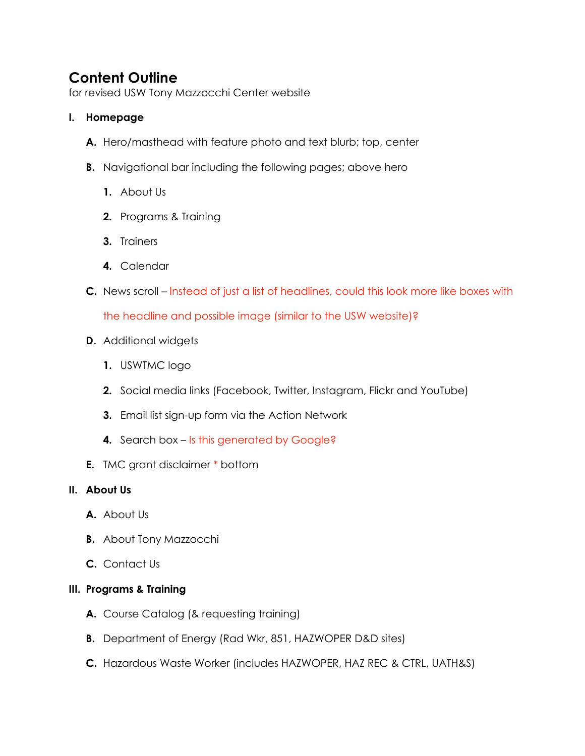# **Content Outline**

for revised USW Tony Mazzocchi Center website

# **I. Homepage**

- **A.** Hero/masthead with feature photo and text blurb; top, center
- **B.** Navigational bar including the following pages; above hero
	- **1.** About Us
	- **2.** Programs & Training
	- **3.** Trainers
	- **4.** Calendar
- **C.** News scroll Instead of just a list of headlines, could this look more like boxes with

the headline and possible image (similar to the USW website)?

- **D.** Additional widgets
	- **1.** USWTMC logo
	- **2.** Social media links (Facebook, Twitter, Instagram, Flickr and YouTube)
	- **3.** Email list sign-up form via the Action Network
	- **4.** Search box Is this generated by Google?
- **E.** TMC grant disclaimer \* bottom

### **II. About Us**

- **A.** About Us
- **B.** About Tony Mazzocchi
- **C.** Contact Us

### **III. Programs & Training**

- **A.** Course Catalog (& requesting training)
- **B.** Department of Energy (Rad Wkr, 851, HAZWOPER D&D sites)
- **C.** Hazardous Waste Worker (includes HAZWOPER, HAZ REC & CTRL, UATH&S)